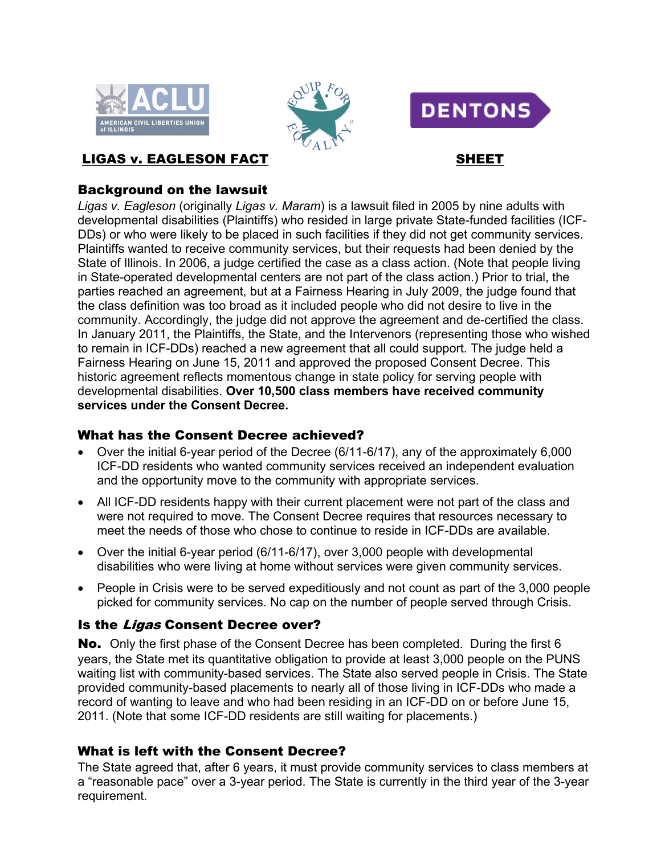





# LIGAS v. EAGLESON FACT SHEET

## Background on the lawsuit

*Ligas v. Eagleson* (originally *Ligas v. Maram*) is a lawsuit filed in 2005 by nine adults with developmental disabilities (Plaintiffs) who resided in large private State-funded facilities (ICF-DDs) or who were likely to be placed in such facilities if they did not get community services. Plaintiffs wanted to receive community services, but their requests had been denied by the State of Illinois. In 2006, a judge certified the case as a class action. (Note that people living in State-operated developmental centers are not part of the class action.) Prior to trial, the parties reached an agreement, but at a Fairness Hearing in July 2009, the judge found that the class definition was too broad as it included people who did not desire to live in the community. Accordingly, the judge did not approve the agreement and de-certified the class. In January 2011, the Plaintiffs, the State, and the Intervenors (representing those who wished to remain in ICF-DDs) reached a new agreement that all could support. The judge held a Fairness Hearing on June 15, 2011 and approved the proposed Consent Decree. This historic agreement reflects momentous change in state policy for serving people with developmental disabilities. **Over 10,500 class members have received community services under the Consent Decree.**

## What has the Consent Decree achieved?

- Over the initial 6-year period of the Decree (6/11-6/17), any of the approximately 6,000 ICF-DD residents who wanted community services received an independent evaluation and the opportunity move to the community with appropriate services.
- All ICF-DD residents happy with their current placement were not part of the class and were not required to move. The Consent Decree requires that resources necessary to meet the needs of those who chose to continue to reside in ICF-DDs are available.
- Over the initial 6-year period (6/11-6/17), over 3,000 people with developmental disabilities who were living at home without services were given community services.
- People in Crisis were to be served expeditiously and not count as part of the 3,000 people picked for community services. No cap on the number of people served through Crisis.

# Is the Ligas Consent Decree over?

No. Only the first phase of the Consent Decree has been completed. During the first 6 years, the State met its quantitative obligation to provide at least 3,000 people on the PUNS waiting list with community-based services. The State also served people in Crisis. The State provided community-based placements to nearly all of those living in ICF-DDs who made a record of wanting to leave and who had been residing in an ICF-DD on or before June 15, 2011. (Note that some ICF-DD residents are still waiting for placements.)

# What is left with the Consent Decree?

The State agreed that, after 6 years, it must provide community services to class members at a "reasonable pace" over a 3-year period. The State is currently in the third year of the 3-year requirement.